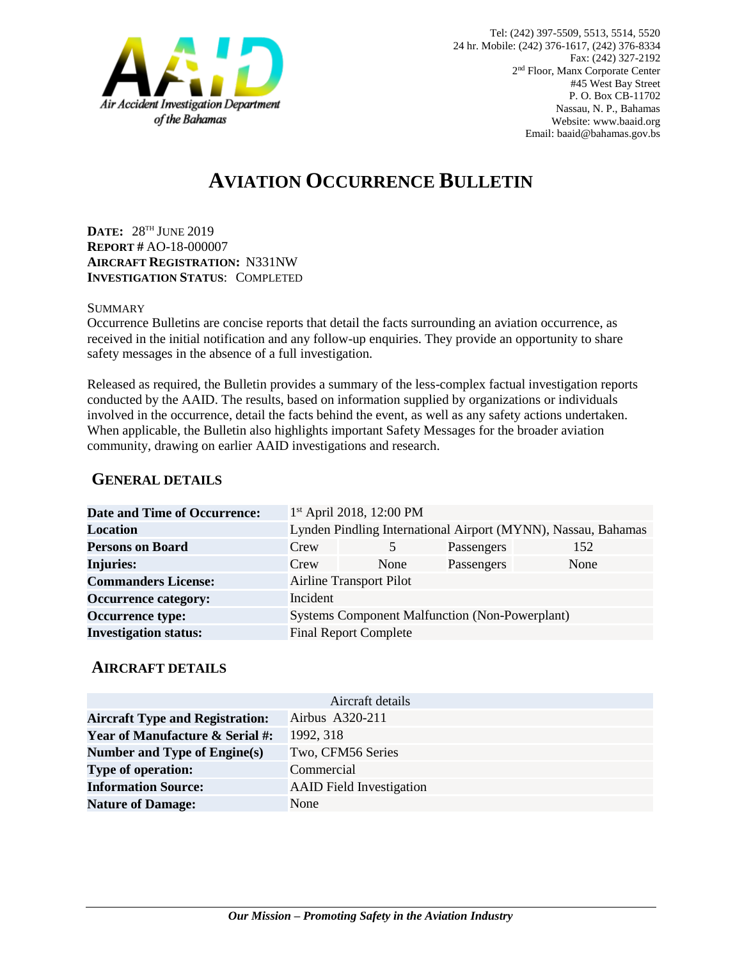

# **AVIATION OCCURRENCE BULLETIN**

**DATE:** 28 TH JUNE 2019 **REPORT #** AO-18-000007 **AIRCRAFT REGISTRATION:** N331NW **INVESTIGATION STATUS**: COMPLETED

#### **SUMMARY**

Occurrence Bulletins are concise reports that detail the facts surrounding an aviation occurrence, as received in the initial notification and any follow-up enquiries. They provide an opportunity to share safety messages in the absence of a full investigation*.*

Released as required, the Bulletin provides a summary of the less-complex factual investigation reports conducted by the AAID. The results, based on information supplied by organizations or individuals involved in the occurrence, detail the facts behind the event, as well as any safety actions undertaken. When applicable, the Bulletin also highlights important Safety Messages for the broader aviation community, drawing on earlier AAID investigations and research.

### **GENERAL DETAILS**

| <b>Date and Time of Occurrence:</b> |                                                               | $1st$ April 2018, 12:00 PM |            |      |
|-------------------------------------|---------------------------------------------------------------|----------------------------|------------|------|
| <b>Location</b>                     | Lynden Pindling International Airport (MYNN), Nassau, Bahamas |                            |            |      |
| <b>Persons on Board</b>             | Crew                                                          | $\mathcal{F}$              | Passengers | 152  |
| <b>Injuries:</b>                    | Crew                                                          | None                       | Passengers | None |
| <b>Commanders License:</b>          | <b>Airline Transport Pilot</b>                                |                            |            |      |
| <b>Occurrence category:</b>         | Incident                                                      |                            |            |      |
| <b>Occurrence type:</b>             | <b>Systems Component Malfunction (Non-Powerplant)</b>         |                            |            |      |
| <b>Investigation status:</b>        | <b>Final Report Complete</b>                                  |                            |            |      |

#### **AIRCRAFT DETAILS**

| Aircraft details                           |                                 |  |  |  |
|--------------------------------------------|---------------------------------|--|--|--|
| <b>Aircraft Type and Registration:</b>     | Airbus A320-211                 |  |  |  |
| <b>Year of Manufacture &amp; Serial #:</b> | 1992, 318                       |  |  |  |
| Number and Type of Engine(s)               | Two, CFM56 Series               |  |  |  |
| <b>Type of operation:</b>                  | Commercial                      |  |  |  |
| <b>Information Source:</b>                 | <b>AAID</b> Field Investigation |  |  |  |
| <b>Nature of Damage:</b>                   | None                            |  |  |  |